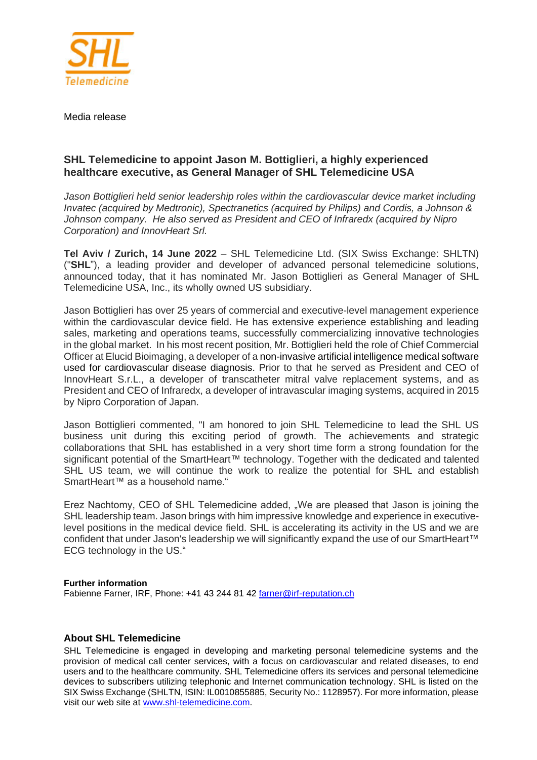

Media release

## **SHL Telemedicine to appoint Jason M. Bottiglieri, a highly experienced healthcare executive, as General Manager of SHL Telemedicine USA**

*Jason Bottiglieri held senior leadership roles within the cardiovascular device market including Invatec (acquired by Medtronic), Spectranetics (acquired by Philips) and Cordis, a Johnson & Johnson company. He also served as President and CEO of Infraredx (acquired by Nipro Corporation) and InnovHeart Srl.*

**Tel Aviv / Zurich, 14 June 2022** – SHL Telemedicine Ltd. (SIX Swiss Exchange: SHLTN) ("**SHL**"), a leading provider and developer of advanced personal telemedicine solutions, announced today, that it has nominated Mr. Jason Bottiglieri as General Manager of SHL Telemedicine USA, Inc., its wholly owned US subsidiary.

Jason Bottiglieri has over 25 years of commercial and executive-level management experience within the cardiovascular device field. He has extensive experience establishing and leading sales, marketing and operations teams, successfully commercializing innovative technologies in the global market. In his most recent position, Mr. Bottiglieri held the role of Chief Commercial Officer at Elucid Bioimaging, a developer of a non-invasive artificial intelligence medical software used for cardiovascular disease diagnosis. Prior to that he served as President and CEO of InnovHeart S.r.L., a developer of transcatheter mitral valve replacement systems, and as President and CEO of Infraredx, a developer of intravascular imaging systems, acquired in 2015 by Nipro Corporation of Japan.

Jason Bottiglieri commented, "I am honored to join SHL Telemedicine to lead the SHL US business unit during this exciting period of growth. The achievements and strategic collaborations that SHL has established in a very short time form a strong foundation for the significant potential of the SmartHeart™ technology. Together with the dedicated and talented SHL US team, we will continue the work to realize the potential for SHL and establish SmartHeart<sup>™</sup> as a household name."

Erez Nachtomy, CEO of SHL Telemedicine added, "We are pleased that Jason is joining the SHL leadership team. Jason brings with him impressive knowledge and experience in executivelevel positions in the medical device field. SHL is accelerating its activity in the US and we are confident that under Jason's leadership we will significantly expand the use of our SmartHeart™ ECG technology in the US."

## **Further information**

Fabienne Farner, IRF, Phone: +41 43 244 81 42 [farner@irf-reputation.ch](mailto:farner@irf-reputation.ch)

## **About SHL Telemedicine**

SHL Telemedicine is engaged in developing and marketing personal telemedicine systems and the provision of medical call center services, with a focus on cardiovascular and related diseases, to end users and to the healthcare community. SHL Telemedicine offers its services and personal telemedicine devices to subscribers utilizing telephonic and Internet communication technology. SHL is listed on the SIX Swiss Exchange (SHLTN, ISIN: IL0010855885, Security No.: 1128957). For more information, please visit our web site at [www.shl-telemedicine.com.](http://www.shl-telemedicine.com/)